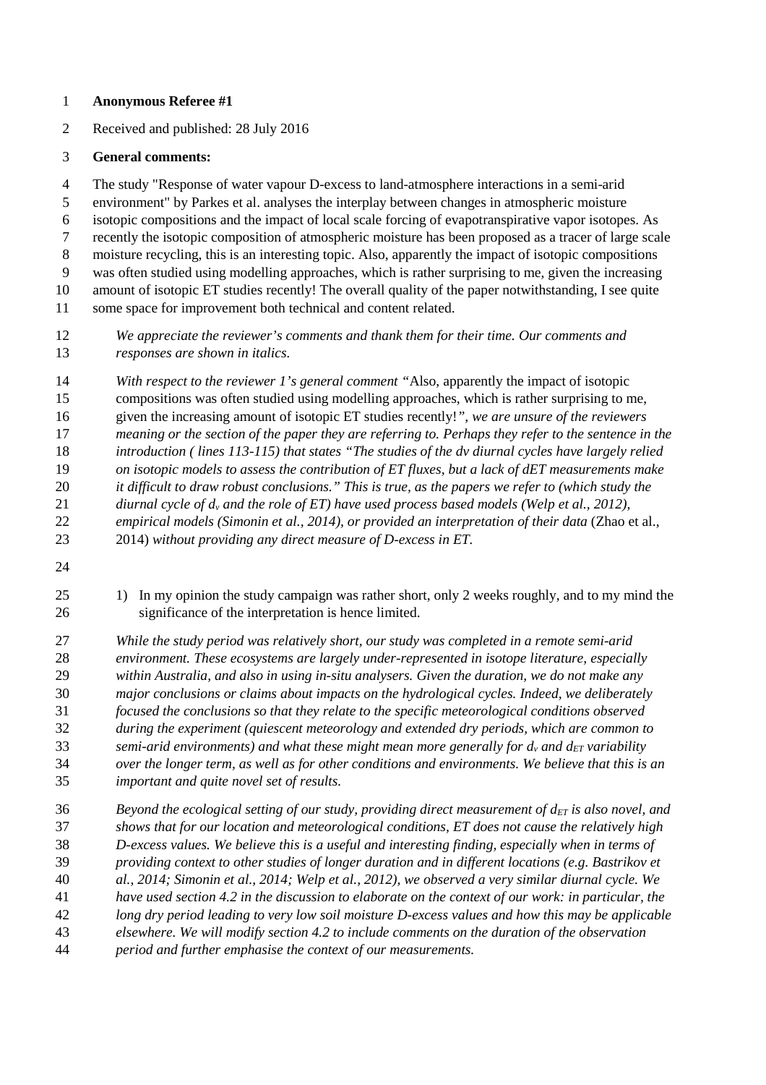## **Anonymous Referee #1**

2 Received and published: 28 July 2016

## **General comments:**

4 The study "Response of water vapour D-excess to land-atmosphere interactions in a semi-arid 5 environment" by Parkes et al. analyses the interplay between changes in atmospheric moisture 6 isotopic compositions and the impact of local scale forcing of evapotranspirative vapor isotopes. As 7 recently the isotopic composition of atmospheric moisture has been proposed as a tracer of large scale 8 moisture recycling, this is an interesting topic. Also, apparently the impact of isotopic compositions 9 was often studied using modelling approaches, which is rather surprising to me, given the increasing 10 amount of isotopic ET studies recently! The overall quality of the paper notwithstanding, I see quite 11 some space for improvement both technical and content related.

*We appreciate the reviewer's comments and thank them for their time. Our comments and responses are shown in italics.* 

*With respect to the reviewer 1's general comment "*Also, apparently the impact of isotopic 15 compositions was often studied using modelling approaches, which is rather surprising to me, 16 given the increasing amount of isotopic ET studies recently!*", we are unsure of the reviewers meaning or the section of the paper they are referring to. Perhaps they refer to the sentence in the introduction ( lines 113-115) that states "The studies of the dv diurnal cycles have largely relied on isotopic models to assess the contribution of ET fluxes, but a lack of dET measurements make it difficult to draw robust conclusions." This is true, as the papers we refer to (which study the diurnal cycle of dv and the role of ET) have used process based models (Welp et al., 2012), empirical models (Simonin et al., 2014), or provided an interpretation of their data* (Zhao et al., 23 2014) *without providing any direct measure of D-excess in ET.* 

25 1) In my opinion the study campaign was rather short, only 2 weeks roughly, and to my mind the 26 significance of the interpretation is hence limited.

*While the study period was relatively short, our study was completed in a remote semi-arid environment. These ecosystems are largely under-represented in isotope literature, especially within Australia, and also in using in-situ analysers. Given the duration, we do not make any major conclusions or claims about impacts on the hydrological cycles. Indeed, we deliberately focused the conclusions so that they relate to the specific meteorological conditions observed during the experiment (quiescent meteorology and extended dry periods, which are common to semi-arid environments) and what these might mean more generally for*  $d_v$  *and*  $d_{ET}$  *variability over the longer term, as well as for other conditions and environments. We believe that this is an important and quite novel set of results.* 

*Beyond the ecological setting of our study, providing direct measurement of*  $d_{ET}$  *is also novel, and shows that for our location and meteorological conditions, ET does not cause the relatively high D-excess values. We believe this is a useful and interesting finding, especially when in terms of providing context to other studies of longer duration and in different locations (e.g. Bastrikov et al., 2014; Simonin et al., 2014; Welp et al., 2012), we observed a very similar diurnal cycle. We have used section 4.2 in the discussion to elaborate on the context of our work: in particular, the long dry period leading to very low soil moisture D-excess values and how this may be applicable elsewhere. We will modify section 4.2 to include comments on the duration of the observation period and further emphasise the context of our measurements.*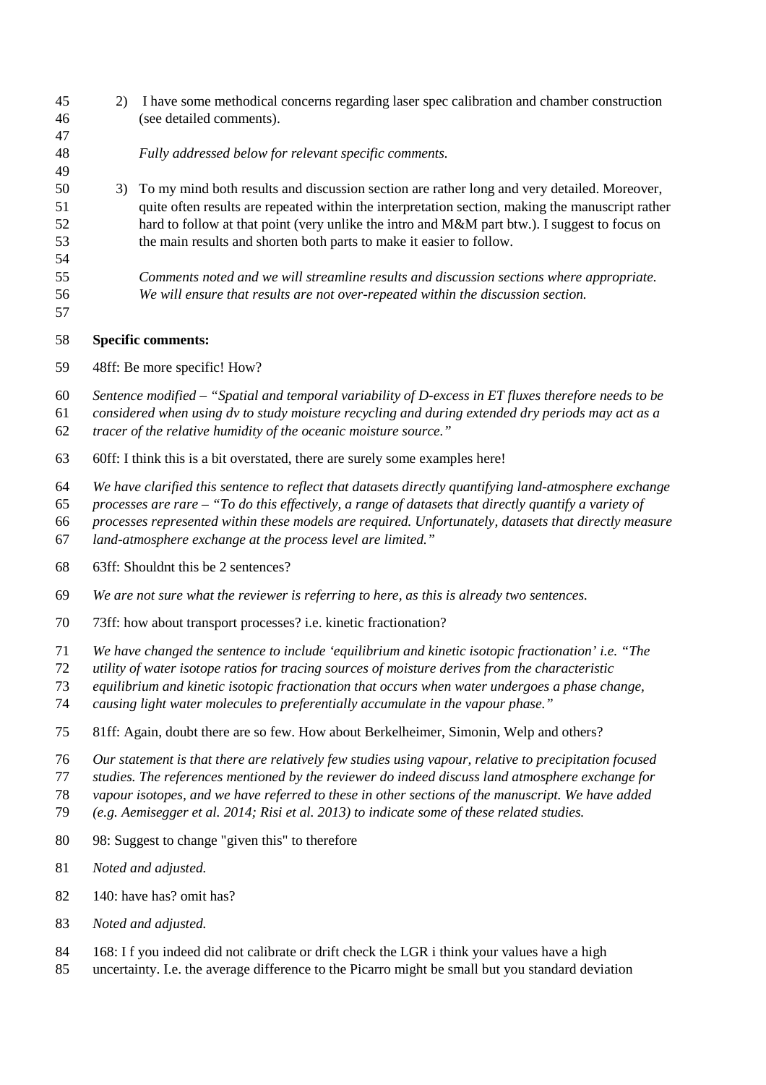| 45<br>46                         | 2)                                                                                                                                                                                                                                                                                                                                                                                      | I have some methodical concerns regarding laser spec calibration and chamber construction<br>(see detailed comments).                                                                                                                                                                                                                                                                                         |
|----------------------------------|-----------------------------------------------------------------------------------------------------------------------------------------------------------------------------------------------------------------------------------------------------------------------------------------------------------------------------------------------------------------------------------------|---------------------------------------------------------------------------------------------------------------------------------------------------------------------------------------------------------------------------------------------------------------------------------------------------------------------------------------------------------------------------------------------------------------|
| 47<br>48                         |                                                                                                                                                                                                                                                                                                                                                                                         | Fully addressed below for relevant specific comments.                                                                                                                                                                                                                                                                                                                                                         |
| 49<br>50<br>51<br>52<br>53<br>54 | 3)                                                                                                                                                                                                                                                                                                                                                                                      | To my mind both results and discussion section are rather long and very detailed. Moreover,<br>quite often results are repeated within the interpretation section, making the manuscript rather<br>hard to follow at that point (very unlike the intro and M&M part btw.). I suggest to focus on<br>the main results and shorten both parts to make it easier to follow.                                      |
| 55<br>56<br>57                   |                                                                                                                                                                                                                                                                                                                                                                                         | Comments noted and we will streamline results and discussion sections where appropriate.<br>We will ensure that results are not over-repeated within the discussion section.                                                                                                                                                                                                                                  |
| 58                               | <b>Specific comments:</b>                                                                                                                                                                                                                                                                                                                                                               |                                                                                                                                                                                                                                                                                                                                                                                                               |
| 59                               | 48ff: Be more specific! How?                                                                                                                                                                                                                                                                                                                                                            |                                                                                                                                                                                                                                                                                                                                                                                                               |
| 60<br>61<br>62                   | Sentence modified $-$ "Spatial and temporal variability of D-excess in ET fluxes therefore needs to be<br>considered when using dv to study moisture recycling and during extended dry periods may act as a<br>tracer of the relative humidity of the oceanic moisture source."                                                                                                         |                                                                                                                                                                                                                                                                                                                                                                                                               |
| 63                               | 60ff: I think this is a bit overstated, there are surely some examples here!                                                                                                                                                                                                                                                                                                            |                                                                                                                                                                                                                                                                                                                                                                                                               |
| 64<br>65<br>66<br>67             | We have clarified this sentence to reflect that datasets directly quantifying land-atmosphere exchange<br>processes are rare – "To do this effectively, a range of datasets that directly quantify a variety of<br>processes represented within these models are required. Unfortunately, datasets that directly measure<br>land-atmosphere exchange at the process level are limited." |                                                                                                                                                                                                                                                                                                                                                                                                               |
| 68                               | 63ff: Shouldnt this be 2 sentences?                                                                                                                                                                                                                                                                                                                                                     |                                                                                                                                                                                                                                                                                                                                                                                                               |
| 69                               | We are not sure what the reviewer is referring to here, as this is already two sentences.                                                                                                                                                                                                                                                                                               |                                                                                                                                                                                                                                                                                                                                                                                                               |
| 70                               | 73ff: how about transport processes? i.e. kinetic fractionation?                                                                                                                                                                                                                                                                                                                        |                                                                                                                                                                                                                                                                                                                                                                                                               |
| 71<br>72<br>73<br>74             |                                                                                                                                                                                                                                                                                                                                                                                         | We have changed the sentence to include 'equilibrium and kinetic isotopic fractionation' i.e. "The<br>utility of water isotope ratios for tracing sources of moisture derives from the characteristic<br>equilibrium and kinetic isotopic fractionation that occurs when water undergoes a phase change,<br>causing light water molecules to preferentially accumulate in the vapour phase."                  |
| 75                               |                                                                                                                                                                                                                                                                                                                                                                                         | 81ff: Again, doubt there are so few. How about Berkelheimer, Simonin, Welp and others?                                                                                                                                                                                                                                                                                                                        |
| 76<br>77<br>78<br>79             |                                                                                                                                                                                                                                                                                                                                                                                         | Our statement is that there are relatively few studies using vapour, relative to precipitation focused<br>studies. The references mentioned by the reviewer do indeed discuss land atmosphere exchange for<br>vapour isotopes, and we have referred to these in other sections of the manuscript. We have added<br>(e.g. Aemisegger et al. 2014; Risi et al. 2013) to indicate some of these related studies. |
| 80                               |                                                                                                                                                                                                                                                                                                                                                                                         | 98: Suggest to change "given this" to therefore                                                                                                                                                                                                                                                                                                                                                               |
| 81                               | Noted and adjusted.                                                                                                                                                                                                                                                                                                                                                                     |                                                                                                                                                                                                                                                                                                                                                                                                               |
| 82                               | 140: have has? omit has?                                                                                                                                                                                                                                                                                                                                                                |                                                                                                                                                                                                                                                                                                                                                                                                               |
| 83                               | Noted and adjusted.                                                                                                                                                                                                                                                                                                                                                                     |                                                                                                                                                                                                                                                                                                                                                                                                               |
| 84<br>85                         |                                                                                                                                                                                                                                                                                                                                                                                         | 168: I f you indeed did not calibrate or drift check the LGR i think your values have a high<br>uncertainty. I.e. the average difference to the Picarro might be small but you standard deviation                                                                                                                                                                                                             |
|                                  |                                                                                                                                                                                                                                                                                                                                                                                         |                                                                                                                                                                                                                                                                                                                                                                                                               |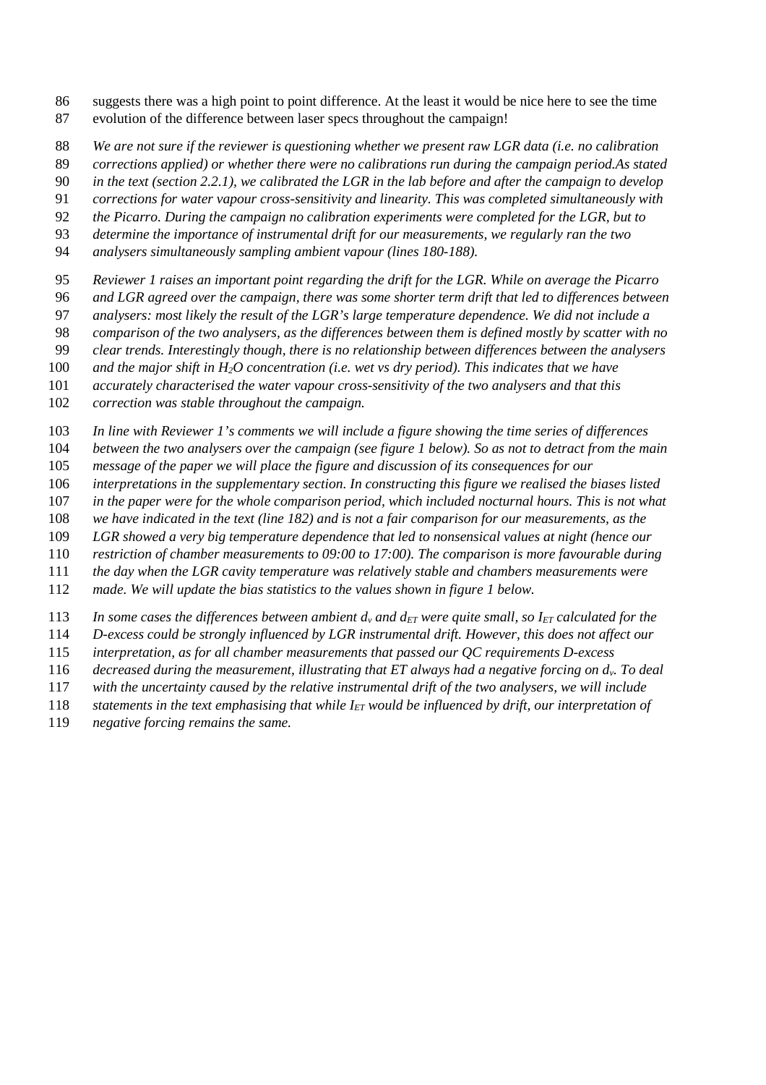- 86 suggests there was a high point to point difference. At the least it would be nice here to see the time 87 evolution of the difference between laser specs throughout the campaign!
- *We are not sure if the reviewer is questioning whether we present raw LGR data (i.e. no calibration*
- *corrections applied) or whether there were no calibrations run during the campaign period.As stated*
- *in the text (section 2.2.1), we calibrated the LGR in the lab before and after the campaign to develop*
- *corrections for water vapour cross-sensitivity and linearity. This was completed simultaneously with*
- *the Picarro. During the campaign no calibration experiments were completed for the LGR, but to*
- *determine the importance of instrumental drift for our measurements, we regularly ran the two*
- *analysers simultaneously sampling ambient vapour (lines 180-188).*
- *Reviewer 1 raises an important point regarding the drift for the LGR. While on average the Picarro*
- *and LGR agreed over the campaign, there was some shorter term drift that led to differences between*
- *analysers: most likely the result of the LGR's large temperature dependence. We did not include a*
- *comparison of the two analysers, as the differences between them is defined mostly by scatter with no*
- *clear trends. Interestingly though, there is no relationship between differences between the analysers*
- *and the major shift in H2O concentration (i.e. wet vs dry period). This indicates that we have*
- *accurately characterised the water vapour cross-sensitivity of the two analysers and that this*
- *correction was stable throughout the campaign.*
- *In line with Reviewer 1's comments we will include a figure showing the time series of differences*
- *between the two analysers over the campaign (see figure 1 below). So as not to detract from the main*
- *message of the paper we will place the figure and discussion of its consequences for our*
- *interpretations in the supplementary section. In constructing this figure we realised the biases listed*
- *in the paper were for the whole comparison period, which included nocturnal hours. This is not what*
- *we have indicated in the text (line 182) and is not a fair comparison for our measurements, as the*
- *LGR showed a very big temperature dependence that led to nonsensical values at night (hence our*
- *restriction of chamber measurements to 09:00 to 17:00). The comparison is more favourable during*
- *the day when the LGR cavity temperature was relatively stable and chambers measurements were*
- *made. We will update the bias statistics to the values shown in figure 1 below.*
- 113 In some cases the differences between ambient  $d<sub>y</sub>$  and  $d<sub>ET</sub>$  *were quite small, so I<sub>ET</sub>* calculated for the
- *D-excess could be strongly influenced by LGR instrumental drift. However, this does not affect our*
- *interpretation, as for all chamber measurements that passed our QC requirements D-excess*
- *decreased during the measurement, illustrating that ET always had a negative forcing on dv. To deal*
- *with the uncertainty caused by the relative instrumental drift of the two analysers, we will include*
- *statements in the text emphasising that while IET would be influenced by drift, our interpretation of*
- *negative forcing remains the same.*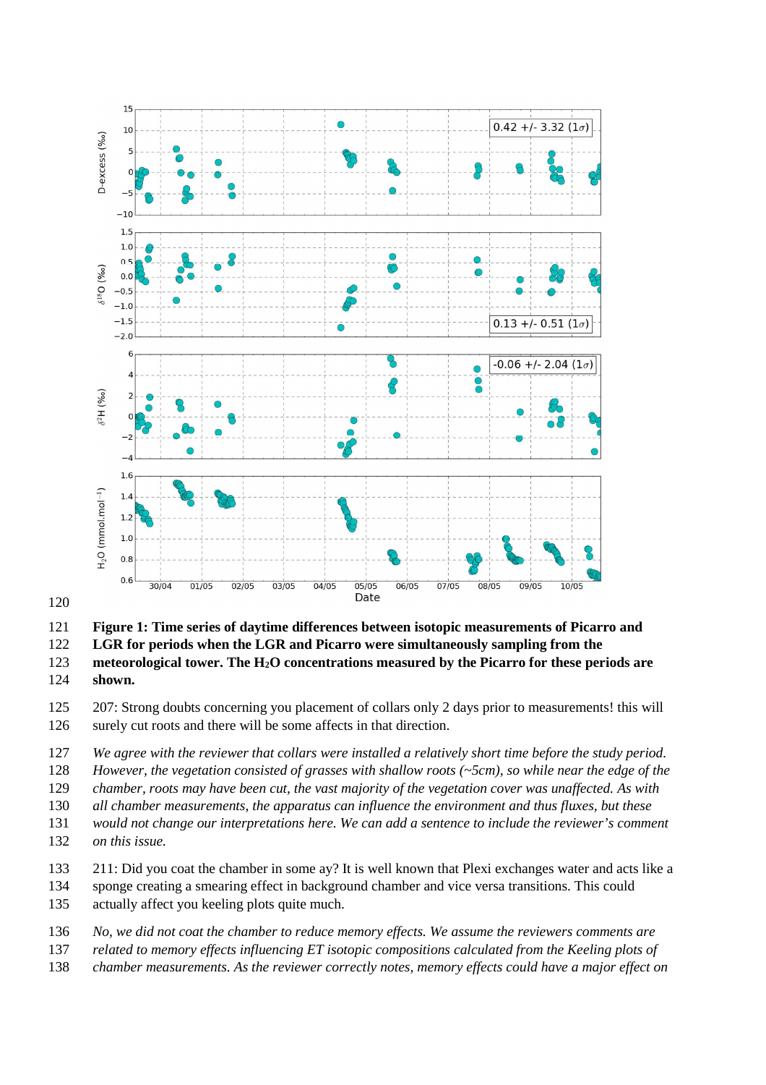

**Figure 1: Time series of daytime differences between isotopic measurements of Picarro and** 

**LGR for periods when the LGR and Picarro were simultaneously sampling from the** 

**meteorological tower. The H2O concentrations measured by the Picarro for these periods are shown.** 

125 207: Strong doubts concerning you placement of collars only 2 days prior to measurements! this will 126 surely cut roots and there will be some affects in that direction.

*We agree with the reviewer that collars were installed a relatively short time before the study period.* 

*However, the vegetation consisted of grasses with shallow roots (~5cm), so while near the edge of the* 

*chamber, roots may have been cut, the vast majority of the vegetation cover was unaffected. As with* 

*all chamber measurements, the apparatus can influence the environment and thus fluxes, but these* 

- *would not change our interpretations here. We can add a sentence to include the reviewer's comment on this issue.*
- 133 211: Did you coat the chamber in some ay? It is well known that Plexi exchanges water and acts like a
- 134 sponge creating a smearing effect in background chamber and vice versa transitions. This could 135 actually affect you keeling plots quite much.
- *No, we did not coat the chamber to reduce memory effects. We assume the reviewers comments are*
- *related to memory effects influencing ET isotopic compositions calculated from the Keeling plots of*
- *chamber measurements. As the reviewer correctly notes, memory effects could have a major effect on*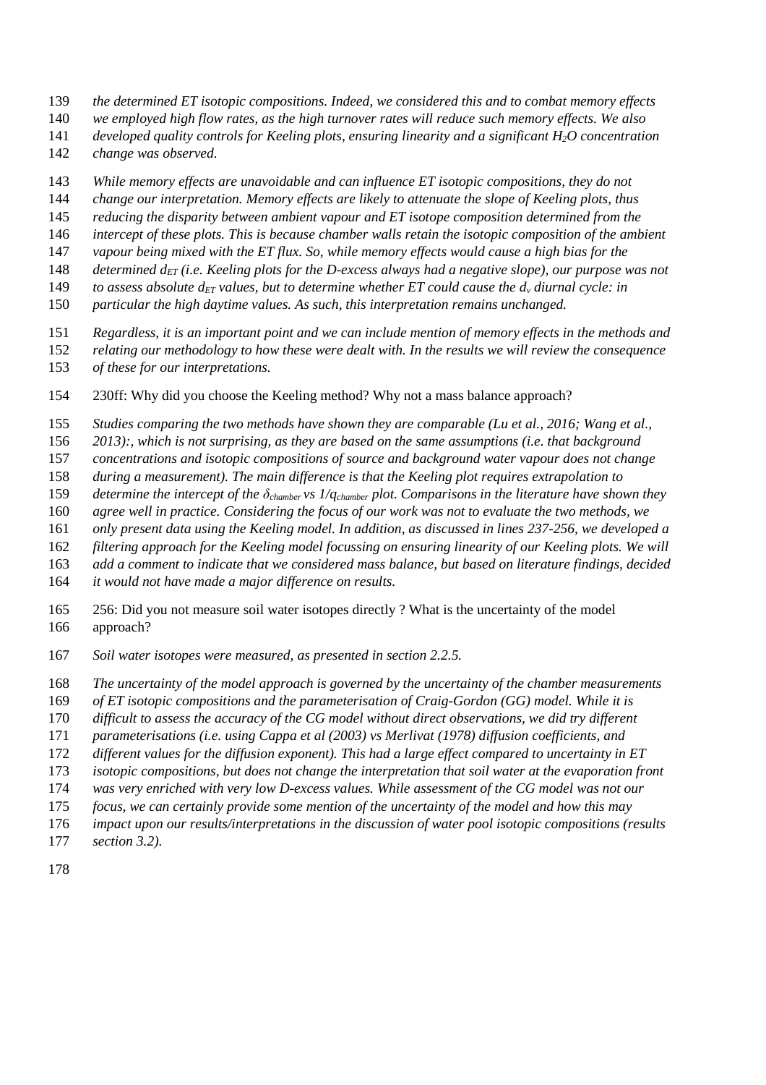- *the determined ET isotopic compositions. Indeed, we considered this and to combat memory effects*
- *we employed high flow rates, as the high turnover rates will reduce such memory effects. We also*
- *developed quality controls for Keeling plots, ensuring linearity and a significant H2O concentration*
- *change was observed.*
- *While memory effects are unavoidable and can influence ET isotopic compositions, they do not*
- *change our interpretation. Memory effects are likely to attenuate the slope of Keeling plots, thus*
- *reducing the disparity between ambient vapour and ET isotope composition determined from the*
- *intercept of these plots. This is because chamber walls retain the isotopic composition of the ambient*
- *vapour being mixed with the ET flux. So, while memory effects would cause a high bias for the*
- *determined dET (i.e. Keeling plots for the D-excess always had a negative slope), our purpose was not*
- 149 *to assess absolute d<sub>ET</sub>* values, but to determine whether ET could cause the  $d<sub>y</sub>$  diurnal cycle: in
- *particular the high daytime values. As such, this interpretation remains unchanged.*
- *Regardless, it is an important point and we can include mention of memory effects in the methods and*
- *relating our methodology to how these were dealt with. In the results we will review the consequence*
- *of these for our interpretations.*
- 154 230ff: Why did you choose the Keeling method? Why not a mass balance approach?
- *Studies comparing the two methods have shown they are comparable (Lu et al., 2016; Wang et al.,*
- *2013):, which is not surprising, as they are based on the same assumptions (i.e. that background*
- *concentrations and isotopic compositions of source and background water vapour does not change*
- *during a measurement). The main difference is that the Keeling plot requires extrapolation to*
- *determine the intercept of the δchamber vs 1/qchamber plot. Comparisons in the literature have shown they*
- *agree well in practice. Considering the focus of our work was not to evaluate the two methods, we*
- *only present data using the Keeling model. In addition, as discussed in lines 237-256, we developed a*
- *filtering approach for the Keeling model focussing on ensuring linearity of our Keeling plots. We will*
- *add a comment to indicate that we considered mass balance, but based on literature findings, decided*
- *it would not have made a major difference on results.*
- 165 256: Did you not measure soil water isotopes directly ? What is the uncertainty of the model 166 approach?
- *Soil water isotopes were measured, as presented in section 2.2.5.*
- *The uncertainty of the model approach is governed by the uncertainty of the chamber measurements*
- *of ET isotopic compositions and the parameterisation of Craig-Gordon (GG) model. While it is*
- *difficult to assess the accuracy of the CG model without direct observations, we did try different*
- *parameterisations (i.e. using Cappa et al (2003) vs Merlivat (1978) diffusion coefficients, and*
- *different values for the diffusion exponent). This had a large effect compared to uncertainty in ET*
- *isotopic compositions, but does not change the interpretation that soil water at the evaporation front*
- *was very enriched with very low D-excess values. While assessment of the CG model was not our*
- *focus, we can certainly provide some mention of the uncertainty of the model and how this may*
- *impact upon our results/interpretations in the discussion of water pool isotopic compositions (results*
- *section 3.2).*
-